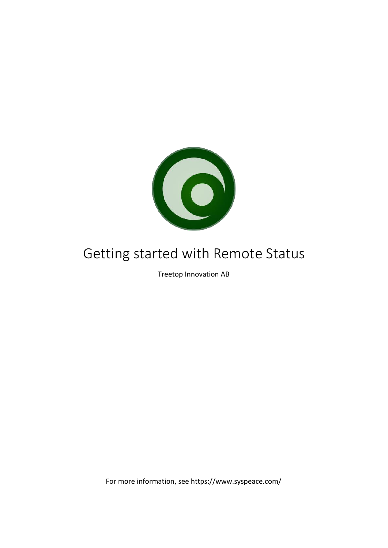

# Getting started with Remote Status

Treetop Innovation AB

For more information, see https://www.syspeace.com/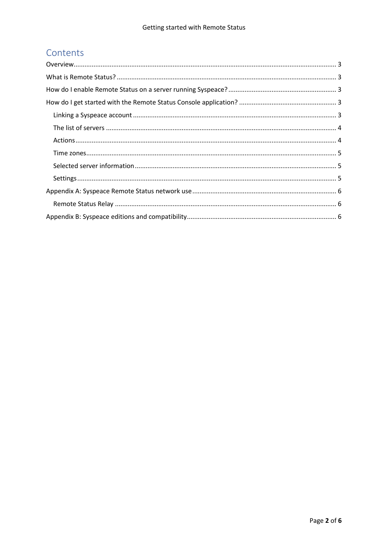# Contents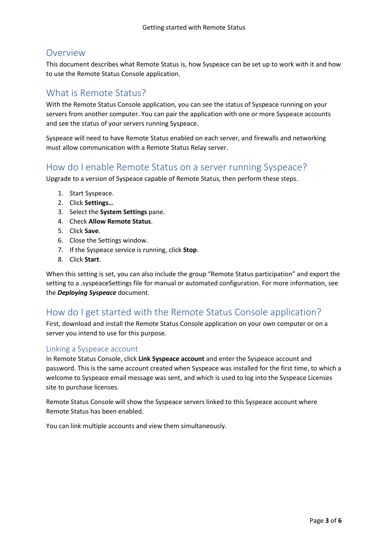## <span id="page-2-0"></span>Overview

This document describes what Remote Status is, how Syspeace can be set up to work with it and how to use the Remote Status Console application.

## <span id="page-2-1"></span>What is Remote Status?

With the Remote Status Console application, you can see the status of Syspeace running on your servers from another computer. You can pair the application with one or more Syspeace accounts and see the status of your servers running Syspeace.

Syspeace will need to have Remote Status enabled on each server, and firewalls and networking must allow communication with a Remote Status Relay server.

## <span id="page-2-2"></span>How do I enable Remote Status on a server running Syspeace?

Upgrade to a version of Syspeace capable of Remote Status, then perform these steps.

- 1. Start Syspeace.
- 2. Click **Settings…**
- 3. Select the **System Settings** pane.
- 4. Check **Allow Remote Status**.
- 5. Click **Save**.
- 6. Close the Settings window.
- 7. If the Syspeace service is running, click **Stop**.
- 8. Click **Start**.

When this setting is set, you can also include the group "Remote Status participation" and export the setting to a .syspeaceSettings file for manual or automated configuration. For more information, see the *Deploying Syspeace* document.

## <span id="page-2-3"></span>How do I get started with the Remote Status Console application?

First, download and install the Remote Status Console application on your own computer or on a server you intend to use for this purpose.

#### <span id="page-2-4"></span>Linking a Syspeace account

In Remote Status Console, click **Link Syspeace account** and enter the Syspeace account and password. This is the same account created when Syspeace was installed for the first time, to which a welcome to Syspeace email message was sent, and which is used to log into the Syspeace Licenses site to purchase licenses.

Remote Status Console will show the Syspeace servers linked to this Syspeace account where Remote Status has been enabled.

You can link multiple accounts and view them simultaneously.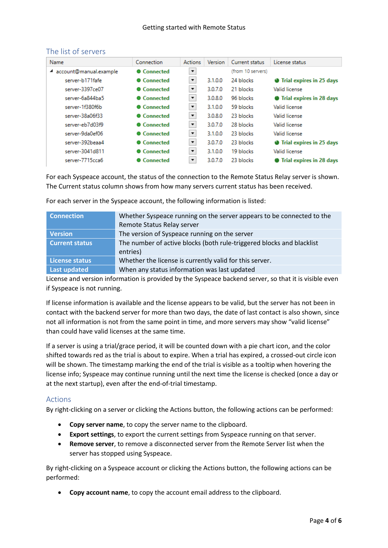| Name                        | Connection       | <b>Actions</b>           | <b>Version</b> | Current status    | License status           |
|-----------------------------|------------------|--------------------------|----------------|-------------------|--------------------------|
| account@manual.example<br>◢ | <b>Connected</b> | $\overline{\phantom{a}}$ |                | (from 10 servers) |                          |
| server-b171fafe             | <b>Connected</b> | $\blacktriangledown$     | 3.1.0.0        | 24 blocks         | Trial expires in 25 days |
| server-3397ce07             | <b>Connected</b> | $\blacktriangledown$     | 3.0.7.0        | 21 blocks         | Valid license            |
| server-6a844ba5             | • Connected      | $\blacktriangledown$     | 3.0.8.0        | 96 blocks         | Trial expires in 28 days |
| server-1f380f6b             | <b>Connected</b> | $\blacktriangledown$     | 3.1.0.0        | 59 blocks         | Valid license.           |
| server-38a06f33             | <b>Connected</b> | $\blacktriangledown$     | 3.0.8.0        | 23 blocks         | Valid license.           |
| server-eb7d03f9             | • Connected      | $\blacktriangledown$     | 3.0.7.0        | 28 blocks         | Valid license            |
| server-9da0ef06             | • Connected      | $\blacktriangledown$     | 3.1.0.0        | 23 blocks         | Valid license            |
| server-392beaa4             | <b>Connected</b> | $\overline{\mathbf{v}}$  | 3.0.7.0        | 23 blocks         | Trial expires in 25 days |
| server-3041d811             | <b>Connected</b> | $\blacktriangledown$     | 3.1.0.0        | 19 blocks         | <b>Valid license</b>     |
| server-7715cca6             | <b>Connected</b> | $\blacktriangledown$     | 3.0.7.0        | 23 blocks         | Trial expires in 28 days |
|                             |                  |                          |                |                   |                          |

#### <span id="page-3-0"></span>The list of servers

For each Syspeace account, the status of the connection to the Remote Status Relay server is shown. The Current status column shows from how many servers current status has been received.

For each server in the Syspeace account, the following information is listed:

| <b>Connection</b>     | Whether Syspeace running on the server appears to be connected to the             |
|-----------------------|-----------------------------------------------------------------------------------|
|                       | Remote Status Relay server                                                        |
| <b>Version</b>        | The version of Syspeace running on the server                                     |
| <b>Current status</b> | The number of active blocks (both rule-triggered blocks and blacklist<br>entries) |
| <b>License status</b> | Whether the license is currently valid for this server.                           |
| Last updated          | When any status information was last updated                                      |

License and version information is provided by the Syspeace backend server, so that it is visible even if Syspeace is not running.

If license information is available and the license appears to be valid, but the server has not been in contact with the backend server for more than two days, the date of last contact is also shown, since not all information is not from the same point in time, and more servers may show "valid license" than could have valid licenses at the same time.

If a server is using a trial/grace period, it will be counted down with a pie chart icon, and the color shifted towards red as the trial is about to expire. When a trial has expired, a crossed-out circle icon will be shown. The timestamp marking the end of the trial is visible as a tooltip when hovering the license info; Syspeace may continue running until the next time the license is checked (once a day or at the next startup), even after the end-of-trial timestamp.

#### <span id="page-3-1"></span>Actions

By right-clicking on a server or clicking the Actions button, the following actions can be performed:

- **Copy server name**, to copy the server name to the clipboard.
- **Export settings**, to export the current settings from Syspeace running on that server.
- **Remove server**, to remove a disconnected server from the Remote Server list when the server has stopped using Syspeace.

By right-clicking on a Syspeace account or clicking the Actions button, the following actions can be performed:

• **Copy account name**, to copy the account email address to the clipboard.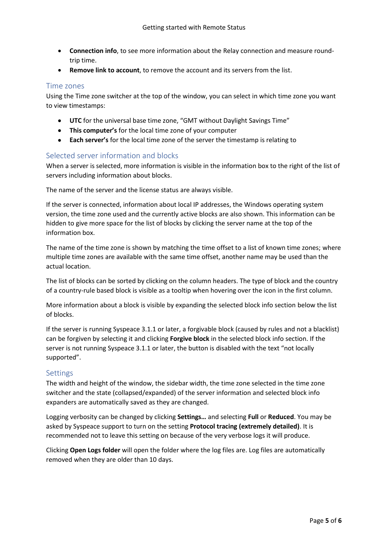- **Connection info**, to see more information about the Relay connection and measure roundtrip time.
- **Remove link to account**, to remove the account and its servers from the list.

#### <span id="page-4-0"></span>Time zones

Using the Time zone switcher at the top of the window, you can select in which time zone you want to view timestamps:

- **UTC** for the universal base time zone, "GMT without Daylight Savings Time"
- **This computer's** for the local time zone of your computer
- **Each server's** for the local time zone of the server the timestamp is relating to

#### <span id="page-4-1"></span>Selected server information and blocks

When a server is selected, more information is visible in the information box to the right of the list of servers including information about blocks.

The name of the server and the license status are always visible.

If the server is connected, information about local IP addresses, the Windows operating system version, the time zone used and the currently active blocks are also shown. This information can be hidden to give more space for the list of blocks by clicking the server name at the top of the information box.

The name of the time zone is shown by matching the time offset to a list of known time zones; where multiple time zones are available with the same time offset, another name may be used than the actual location.

The list of blocks can be sorted by clicking on the column headers. The type of block and the country of a country-rule based block is visible as a tooltip when hovering over the icon in the first column.

More information about a block is visible by expanding the selected block info section below the list of blocks.

If the server is running Syspeace 3.1.1 or later, a forgivable block (caused by rules and not a blacklist) can be forgiven by selecting it and clicking **Forgive block** in the selected block info section. If the server is not running Syspeace 3.1.1 or later, the button is disabled with the text "not locally supported".

#### <span id="page-4-2"></span>Settings

The width and height of the window, the sidebar width, the time zone selected in the time zone switcher and the state (collapsed/expanded) of the server information and selected block info expanders are automatically saved as they are changed.

Logging verbosity can be changed by clicking **Settings…** and selecting **Full** or **Reduced**. You may be asked by Syspeace support to turn on the setting **Protocol tracing (extremely detailed)**. It is recommended not to leave this setting on because of the very verbose logs it will produce.

Clicking **Open Logs folder** will open the folder where the log files are. Log files are automatically removed when they are older than 10 days.